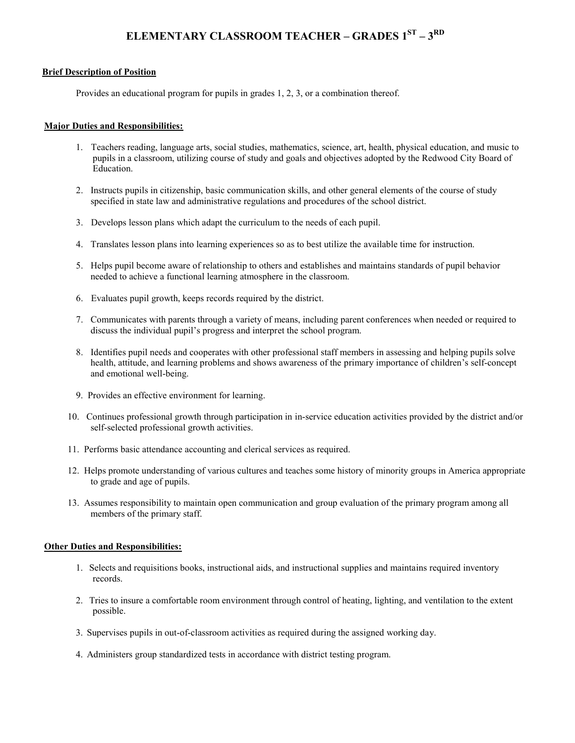# **ELEMENTARY CLASSROOM TEACHER – GRADES 1ST – 3 RD**

#### **Brief Description of Position**

Provides an educational program for pupils in grades 1, 2, 3, or a combination thereof.

#### **Major Duties and Responsibilities:**

- 1. Teachers reading, language arts, social studies, mathematics, science, art, health, physical education, and music to pupils in a classroom, utilizing course of study and goals and objectives adopted by the Redwood City Board of Education.
- 2. Instructs pupils in citizenship, basic communication skills, and other general elements of the course of study specified in state law and administrative regulations and procedures of the school district.
- 3. Develops lesson plans which adapt the curriculum to the needs of each pupil.
- 4. Translates lesson plans into learning experiences so as to best utilize the available time for instruction.
- 5. Helps pupil become aware of relationship to others and establishes and maintains standards of pupil behavior needed to achieve a functional learning atmosphere in the classroom.
- 6. Evaluates pupil growth, keeps records required by the district.
- 7. Communicates with parents through a variety of means, including parent conferences when needed or required to discuss the individual pupil's progress and interpret the school program.
- 8. Identifies pupil needs and cooperates with other professional staff members in assessing and helping pupils solve health, attitude, and learning problems and shows awareness of the primary importance of children's self-concept and emotional well-being.
- 9. Provides an effective environment for learning.
- 10. Continues professional growth through participation in in-service education activities provided by the district and/or self-selected professional growth activities.
- 11. Performs basic attendance accounting and clerical services as required.
- 12. Helps promote understanding of various cultures and teaches some history of minority groups in America appropriate to grade and age of pupils.
- 13. Assumes responsibility to maintain open communication and group evaluation of the primary program among all members of the primary staff.

### **Other Duties and Responsibilities:**

- 1. Selects and requisitions books, instructional aids, and instructional supplies and maintains required inventory records.
- 2. Tries to insure a comfortable room environment through control of heating, lighting, and ventilation to the extent possible.
- 3. Supervises pupils in out-of-classroom activities as required during the assigned working day.
- 4. Administers group standardized tests in accordance with district testing program.